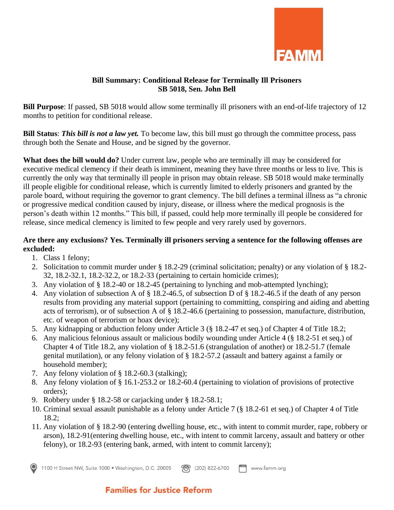

## **Bill Summary: Conditional Release for Terminally Ill Prisoners SB 5018, Sen. John Bell**

**Bill Purpose**: If passed, SB 5018 would allow some terminally ill prisoners with an end-of-life trajectory of 12 months to petition for conditional release.

**Bill Status**: *This bill is not a law yet.* To become law, this bill must go through the committee process, pass through both the Senate and House, and be signed by the governor.

**What does the bill would do?** Under current law, people who are terminally ill may be considered for executive medical clemency if their death is imminent, meaning they have three months or less to live. This is currently the only way that terminally ill people in prison may obtain release. SB 5018 would make terminally ill people eligible for conditional release, which is currently limited to elderly prisoners and granted by the parole board, without requiring the governor to grant clemency. The bill defines a terminal illness as "a chronic or progressive medical condition caused by injury, disease, or illness where the medical prognosis is the person's death within 12 months." This bill, if passed, could help more terminally ill people be considered for release, since medical clemency is limited to few people and very rarely used by governors.

## **Are there any exclusions? Yes. Terminally ill prisoners serving a sentence for the following offenses are excluded:**

- 1. Class 1 felony;
- 2. Solicitation to commit murder under § 18.2-29 (criminal solicitation; penalty) or any violation of § 18.2- 32, 18.2-32.1, 18.2-32.2, or 18.2-33 (pertaining to certain homicide crimes);
- 3. Any violation of § 18.2-40 or 18.2-45 (pertaining to lynching and mob-attempted lynching);
- 4. Any violation of subsection A of § 18.2-46.5, of subsection D of § 18.2-46.5 if the death of any person results from providing any material support (pertaining to committing, conspiring and aiding and abetting acts of terrorism), or of subsection A of § 18.2-46.6 (pertaining to possession, manufacture, distribution, etc. of weapon of terrorism or hoax device);
- 5. Any kidnapping or abduction felony under Article 3 (§ 18.2-47 et seq.) of Chapter 4 of Title 18.2;
- 6. Any malicious felonious assault or malicious bodily wounding under Article 4 (§ 18.2-51 et seq.) of Chapter 4 of Title 18.2, any violation of § 18.2-51.6 (strangulation of another) or 18.2-51.7 (female genital mutilation), or any felony violation of § 18.2-57.2 (assault and battery against a family or household member);
- 7. Any felony violation of § 18.2-60.3 (stalking);
- 8. Any felony violation of § 16.1-253.2 or 18.2-60.4 (pertaining to violation of provisions of protective orders);
- 9. Robbery under § 18.2-58 or carjacking under § 18.2-58.1;
- 10. Criminal sexual assault punishable as a felony under Article 7 (§ 18.2-61 et seq.) of Chapter 4 of Title 18.2;
- 11. Any violation of § 18.2-90 (entering dwelling house, etc., with intent to commit murder, rape, robbery or arson), 18.2-91(entering dwelling house, etc., with intent to commit larceny, assault and battery or other felony), or 18.2-93 (entering bank, armed, with intent to commit larceny);



## **Families for Justice Reform**